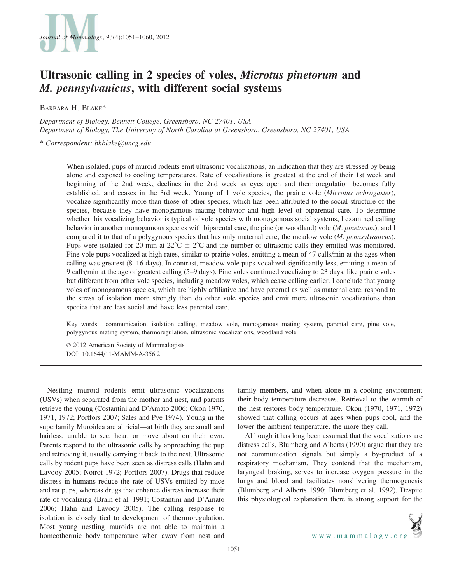

# Ultrasonic calling in 2 species of voles, Microtus pinetorum and M. pennsylvanicus, with different social systems

BARBARA H. BLAKE\*

Department of Biology, Bennett College, Greensboro, NC 27401, USA Department of Biology, The University of North Carolina at Greensboro, Greensboro, NC 27401, USA

\* Correspondent: bhblake@uncg.edu

When isolated, pups of muroid rodents emit ultrasonic vocalizations, an indication that they are stressed by being alone and exposed to cooling temperatures. Rate of vocalizations is greatest at the end of their 1st week and beginning of the 2nd week, declines in the 2nd week as eyes open and thermoregulation becomes fully established, and ceases in the 3rd week. Young of 1 vole species, the prairie vole (Microtus ochrogaster), vocalize significantly more than those of other species, which has been attributed to the social structure of the species, because they have monogamous mating behavior and high level of biparental care. To determine whether this vocalizing behavior is typical of vole species with monogamous social systems, I examined calling behavior in another monogamous species with biparental care, the pine (or woodland) vole (M. pinetorum), and I compared it to that of a polygynous species that has only maternal care, the meadow vole (M. pennsylvanicus). Pups were isolated for 20 min at  $22^{\circ}C \pm 2^{\circ}C$  and the number of ultrasonic calls they emitted was monitored. Pine vole pups vocalized at high rates, similar to prairie voles, emitting a mean of 47 calls/min at the ages when calling was greatest (8–16 days). In contrast, meadow vole pups vocalized significantly less, emitting a mean of 9 calls/min at the age of greatest calling (5–9 days). Pine voles continued vocalizing to 23 days, like prairie voles but different from other vole species, including meadow voles, which cease calling earlier. I conclude that young voles of monogamous species, which are highly affiliative and have paternal as well as maternal care, respond to the stress of isolation more strongly than do other vole species and emit more ultrasonic vocalizations than species that are less social and have less parental care.

Key words: communication, isolation calling, meadow vole, monogamous mating system, parental care, pine vole, polygynous mating system, thermoregulation, ultrasonic vocalizations, woodland vole

 $© 2012$  American Society of Mammalogists DOI: 10.1644/11-MAMM-A-356.2

Nestling muroid rodents emit ultrasonic vocalizations (USVs) when separated from the mother and nest, and parents retrieve the young (Costantini and D'Amato 2006; Okon 1970, 1971, 1972; Portfors 2007; Sales and Pye 1974). Young in the superfamily Muroidea are altricial—at birth they are small and hairless, unable to see, hear, or move about on their own. Parents respond to the ultrasonic calls by approaching the pup and retrieving it, usually carrying it back to the nest. Ultrasonic calls by rodent pups have been seen as distress calls (Hahn and Lavooy 2005; Noirot 1972; Portfors 2007). Drugs that reduce distress in humans reduce the rate of USVs emitted by mice and rat pups, whereas drugs that enhance distress increase their rate of vocalizing (Brain et al. 1991; Costantini and D'Amato 2006; Hahn and Lavooy 2005). The calling response to isolation is closely tied to development of thermoregulation. Most young nestling muroids are not able to maintain a homeothermic body temperature when away from nest and family members, and when alone in a cooling environment their body temperature decreases. Retrieval to the warmth of the nest restores body temperature. Okon (1970, 1971, 1972) showed that calling occurs at ages when pups cool, and the lower the ambient temperature, the more they call.

Although it has long been assumed that the vocalizations are distress calls, Blumberg and Alberts (1990) argue that they are not communication signals but simply a by-product of a respiratory mechanism. They contend that the mechanism, laryngeal braking, serves to increase oxygen pressure in the lungs and blood and facilitates nonshivering thermogenesis (Blumberg and Alberts 1990; Blumberg et al. 1992). Despite this physiological explanation there is strong support for the

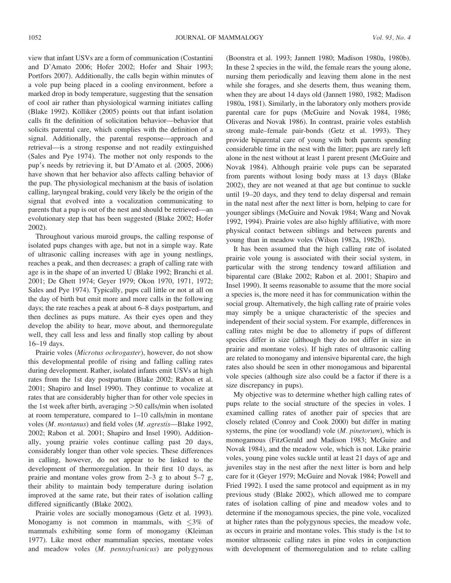view that infant USVs are a form of communication (Costantini and D'Amato 2006; Hofer 2002; Hofer and Shair 1993; Portfors 2007). Additionally, the calls begin within minutes of a vole pup being placed in a cooling environment, before a marked drop in body temperature, suggesting that the sensation of cool air rather than physiological warming initiates calling (Blake 1992). Kölliker (2005) points out that infant isolation calls fit the definition of solicitation behavior—behavior that solicits parental care, which complies with the definition of a signal. Additionally, the parental response—approach and retrieval—is a strong response and not readily extinguished (Sales and Pye 1974). The mother not only responds to the pup's needs by retrieving it, but D'Amato et al. (2005, 2006) have shown that her behavior also affects calling behavior of the pup. The physiological mechanism at the basis of isolation calling, laryngeal braking, could very likely be the origin of the signal that evolved into a vocalization communicating to parents that a pup is out of the nest and should be retrieved—an evolutionary step that has been suggested (Blake 2002; Hofer 2002).

Throughout various muroid groups, the calling response of isolated pups changes with age, but not in a simple way. Rate of ultrasonic calling increases with age in young nestlings, reaches a peak, and then decreases: a graph of calling rate with age is in the shape of an inverted U (Blake 1992; Branchi et al. 2001; De Ghett 1974; Geyer 1979; Okon 1970, 1971, 1972; Sales and Pye 1974). Typically, pups call little or not at all on the day of birth but emit more and more calls in the following days; the rate reaches a peak at about 6–8 days postpartum, and then declines as pups mature. As their eyes open and they develop the ability to hear, move about, and thermoregulate well, they call less and less and finally stop calling by about 16–19 days.

Prairie voles (Microtus ochrogaster), however, do not show this developmental profile of rising and falling calling rates during development. Rather, isolated infants emit USVs at high rates from the 1st day postpartum (Blake 2002; Rabon et al. 2001; Shapiro and Insel 1990). They continue to vocalize at rates that are considerably higher than for other vole species in the 1st week after birth, averaging  $>50$  calls/min when isolated at room temperature, compared to 1–10 calls/min in montane voles (M. montanus) and field voles (M. agrestis—Blake 1992, 2002; Rabon et al. 2001; Shapiro and Insel 1990). Additionally, young prairie voles continue calling past 20 days, considerably longer than other vole species. These differences in calling, however, do not appear to be linked to the development of thermoregulation. In their first 10 days, as prairie and montane voles grow from 2–3 g to about 5–7 g, their ability to maintain body temperature during isolation improved at the same rate, but their rates of isolation calling differed significantly (Blake 2002).

Prairie voles are socially monogamous (Getz et al. 1993). Monogamy is not common in mammals, with  $\leq 3\%$  of mammals exhibiting some form of monogamy (Kleiman 1977). Like most other mammalian species, montane voles and meadow voles (M. pennsylvanicus) are polygynous

(Boonstra et al. 1993; Jannett 1980; Madison 1980a, 1980b). In these 2 species in the wild, the female rears the young alone, nursing them periodically and leaving them alone in the nest while she forages, and she deserts them, thus weaning them, when they are about 14 days old (Jannett 1980, 1982; Madison 1980a, 1981). Similarly, in the laboratory only mothers provide parental care for pups (McGuire and Novak 1984, 1986; Oliveras and Novak 1986). In contrast, prairie voles establish strong male–female pair-bonds (Getz et al. 1993). They provide biparental care of young with both parents spending considerable time in the nest with the litter; pups are rarely left alone in the nest without at least 1 parent present (McGuire and Novak 1984). Although prairie vole pups can be separated from parents without losing body mass at 13 days (Blake 2002), they are not weaned at that age but continue to suckle until 19–20 days, and they tend to delay dispersal and remain in the natal nest after the next litter is born, helping to care for younger siblings (McGuire and Novak 1984; Wang and Novak 1992, 1994). Prairie voles are also highly affiliative, with more physical contact between siblings and between parents and young than in meadow voles (Wilson 1982a, 1982b).

It has been assumed that the high calling rate of isolated prairie vole young is associated with their social system, in particular with the strong tendency toward affiliation and biparental care (Blake 2002; Rabon et al. 2001; Shapiro and Insel 1990). It seems reasonable to assume that the more social a species is, the more need it has for communication within the social group. Alternatively, the high calling rate of prairie voles may simply be a unique characteristic of the species and independent of their social system. For example, differences in calling rates might be due to allometry if pups of different species differ in size (although they do not differ in size in prairie and montane voles). If high rates of ultrasonic calling are related to monogamy and intensive biparental care, the high rates also should be seen in other monogamous and biparental vole species (although size also could be a factor if there is a size discrepancy in pups).

My objective was to determine whether high calling rates of pups relate to the social structure of the species in voles. I examined calling rates of another pair of species that are closely related (Conroy and Cook 2000) but differ in mating systems, the pine (or woodland) vole  $(M.$  pinetorum), which is monogamous (FitzGerald and Madison 1983; McGuire and Novak 1984), and the meadow vole, which is not. Like prairie voles, young pine voles suckle until at least 21 days of age and juveniles stay in the nest after the next litter is born and help care for it (Geyer 1979; McGuire and Novak 1984; Powell and Fried 1992). I used the same protocol and equipment as in my previous study (Blake 2002), which allowed me to compare rates of isolation calling of pine and meadow voles and to determine if the monogamous species, the pine vole, vocalized at higher rates than the polygynous species, the meadow vole, as occurs in prairie and montane voles. This study is the 1st to monitor ultrasonic calling rates in pine voles in conjunction with development of thermoregulation and to relate calling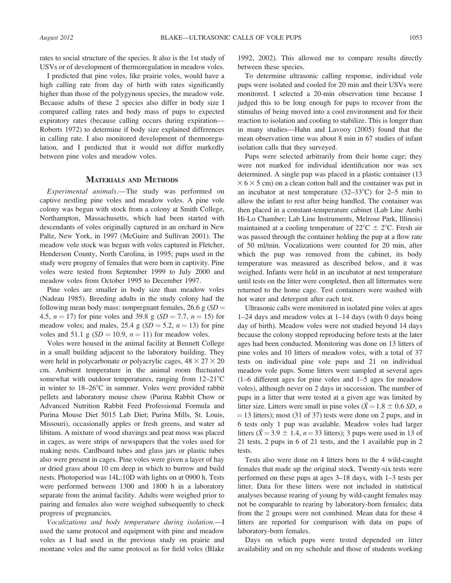rates to social structure of the species. It also is the 1st study of USVs or of development of thermoregulation in meadow voles.

I predicted that pine voles, like prairie voles, would have a high calling rate from day of birth with rates significantly higher than those of the polygynous species, the meadow vole. Because adults of these 2 species also differ in body size I compared calling rates and body mass of pups to expected expiratory rates (because calling occurs during expiration— Roberts 1972) to determine if body size explained differences in calling rate. I also monitored development of thermoregulation, and I predicted that it would not differ markedly between pine voles and meadow voles.

### MATERIALS AND METHODS

Experimental animals.—The study was performed on captive nestling pine voles and meadow voles. A pine vole colony was begun with stock from a colony at Smith College, Northampton, Massachusetts, which had been started with descendants of voles originally captured in an orchard in New Paltz, New York, in 1997 (McGuire and Sullivan 2001). The meadow vole stock was begun with voles captured in Fletcher, Henderson County, North Carolina, in 1995; pups used in the study were progeny of females that were born in captivity. Pine voles were tested from September 1999 to July 2000 and meadow voles from October 1995 to December 1997.

Pine voles are smaller in body size than meadow voles (Nadeau 1985). Breeding adults in the study colony had the following mean body mass: nonpregnant females, 26.6 g  $(SD =$ 4.5,  $n = 17$ ) for pine voles and 39.8 g (SD = 7.7,  $n = 15$ ) for meadow voles; and males, 25.4 g  $(SD = 5.2, n = 13)$  for pine voles and 51.1 g  $(SD = 10.9, n = 11)$  for meadow voles.

Voles were housed in the animal facility at Bennett College in a small building adjacent to the laboratory building. They were held in polycarbonate or polyacrylic cages,  $48 \times 27 \times 20$ cm. Ambient temperature in the animal room fluctuated somewhat with outdoor temperatures, ranging from  $12-21^{\circ}C$ in winter to  $18-26^{\circ}$ C in summer. Voles were provided rabbit pellets and laboratory mouse chow (Purina Rabbit Chow or Advanced Nutrition Rabbit Feed Professional Formula and Purina Mouse Diet 5015 Lab Diet; Purina Mills, St. Louis, Missouri), occasionally apples or fresh greens, and water ad libitum. A mixture of wood shavings and peat moss was placed in cages, as were strips of newspapers that the voles used for making nests. Cardboard tubes and glass jars or plastic tubes also were present in cages. Pine voles were given a layer of hay or dried grass about 10 cm deep in which to burrow and build nests. Photoperiod was 14L:10D with lights on at 0900 h. Tests were performed between 1300 and 1800 h in a laboratory separate from the animal facility. Adults were weighed prior to pairing and females also were weighed subsequently to check progress of pregnancies.

Vocalizations and body temperature during isolation.—I used the same protocol and equipment with pine and meadow voles as I had used in the previous study on prairie and montane voles and the same protocol as for field voles (Blake

1992, 2002). This allowed me to compare results directly between these species.

To determine ultrasonic calling response, individual vole pups were isolated and cooled for 20 min and their USVs were monitored. I selected a 20-min observation time because I judged this to be long enough for pups to recover from the stimulus of being moved into a cool environment and for their reaction to isolation and cooling to stabilize. This is longer than in many studies—Hahn and Lavooy (2005) found that the mean observation time was about 8 min in 67 studies of infant isolation calls that they surveyed.

Pups were selected arbitrarily from their home cage; they were not marked for individual identification nor was sex determined. A single pup was placed in a plastic container (13  $\times$  6  $\times$  5 cm) on a clean cotton ball and the container was put in an incubator at nest temperature  $(32-33^{\circ}C)$  for 2-5 min to allow the infant to rest after being handled. The container was then placed in a constant-temperature cabinet (Lab Line Ambi Hi-Lo Chamber; Lab Line Instruments, Melrose Park, Illinois) maintained at a cooling temperature of  $22^{\circ}C \pm 2^{\circ}C$ . Fresh air was passed through the container holding the pup at a flow rate of 50 ml/min. Vocalizations were counted for 20 min, after which the pup was removed from the cabinet, its body temperature was measured as described below, and it was weighed. Infants were held in an incubator at nest temperature until tests on the litter were completed, then all littermates were returned to the home cage. Test containers were washed with hot water and detergent after each test.

Ultrasonic calls were monitored in isolated pine voles at ages 1–24 days and meadow voles at 1–14 days (with 0 days being day of birth). Meadow voles were not studied beyond 14 days because the colony stopped reproducing before tests at the later ages had been conducted. Monitoring was done on 13 litters of pine voles and 10 litters of meadow voles, with a total of 37 tests on individual pine vole pups and 21 on individual meadow vole pups. Some litters were sampled at several ages (1–6 different ages for pine voles and 1–5 ages for meadow voles), although never on 2 days in succession. The number of pups in a litter that were tested at a given age was limited by litter size. Litters were small in pine voles ( $\bar{X} = 1.8 \pm 0.6$  SD, n  $=$  13 litters); most (31 of 37) tests were done on 2 pups, and in 6 tests only 1 pup was available. Meadow voles had larger litters ( $\bar{X}$  = 3.9  $\pm$  1.4, n = 33 litters); 3 pups were used in 13 of 21 tests, 2 pups in 6 of 21 tests, and the 1 available pup in 2 tests.

Tests also were done on 4 litters born to the 4 wild-caught females that made up the original stock. Twenty-six tests were performed on these pups at ages 3–18 days, with 1–3 tests per litter. Data for these litters were not included in statistical analyses because rearing of young by wild-caught females may not be comparable to rearing by laboratory-born females; data from the 2 groups were not combined. Mean data for these 4 litters are reported for comparison with data on pups of laboratory-born females.

Days on which pups were tested depended on litter availability and on my schedule and those of students working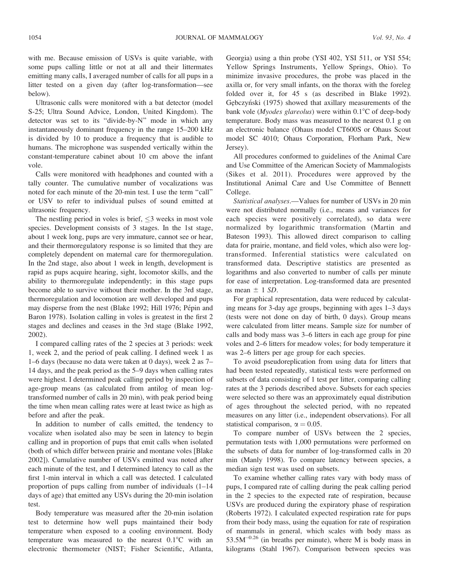with me. Because emission of USVs is quite variable, with some pups calling little or not at all and their littermates emitting many calls, I averaged number of calls for all pups in a litter tested on a given day (after log-transformation—see below).

Ultrasonic calls were monitored with a bat detector (model S-25; Ultra Sound Advice, London, United Kingdom). The detector was set to its ''divide-by-N'' mode in which any instantaneously dominant frequency in the range 15–200 kHz is divided by 10 to produce a frequency that is audible to humans. The microphone was suspended vertically within the constant-temperature cabinet about 10 cm above the infant vole.

Calls were monitored with headphones and counted with a tally counter. The cumulative number of vocalizations was noted for each minute of the 20-min test. I use the term ''call'' or USV to refer to individual pulses of sound emitted at ultrasonic frequency.

The nestling period in voles is brief,  $\leq$  weeks in most vole species. Development consists of 3 stages. In the 1st stage, about 1 week long, pups are very immature, cannot see or hear, and their thermoregulatory response is so limited that they are completely dependent on maternal care for thermoregulation. In the 2nd stage, also about 1 week in length, development is rapid as pups acquire hearing, sight, locomotor skills, and the ability to thermoregulate independently; in this stage pups become able to survive without their mother. In the 3rd stage, thermoregulation and locomotion are well developed and pups may disperse from the nest (Blake 1992; Hill 1976; Pépin and Baron 1978). Isolation calling in voles is greatest in the first 2 stages and declines and ceases in the 3rd stage (Blake 1992, 2002).

I compared calling rates of the 2 species at 3 periods: week 1, week 2, and the period of peak calling. I defined week 1 as 1–6 days (because no data were taken at 0 days), week 2 as 7– 14 days, and the peak period as the 5–9 days when calling rates were highest. I determined peak calling period by inspection of age-group means (as calculated from antilog of mean logtransformed number of calls in 20 min), with peak period being the time when mean calling rates were at least twice as high as before and after the peak.

In addition to number of calls emitted, the tendency to vocalize when isolated also may be seen in latency to begin calling and in proportion of pups that emit calls when isolated (both of which differ between prairie and montane voles [Blake 2002]). Cumulative number of USVs emitted was noted after each minute of the test, and I determined latency to call as the first 1-min interval in which a call was detected. I calculated proportion of pups calling from number of individuals (1–14 days of age) that emitted any USVs during the 20-min isolation test.

Body temperature was measured after the 20-min isolation test to determine how well pups maintained their body temperature when exposed to a cooling environment. Body temperature was measured to the nearest  $0.1^{\circ}$ C with an electronic thermometer (NIST; Fisher Scientific, Atlanta,

Georgia) using a thin probe (YSI 402, YSI 511, or YSI 554; Yellow Springs Instruments, Yellow Springs, Ohio). To minimize invasive procedures, the probe was placed in the axilla or, for very small infants, on the thorax with the foreleg folded over it, for 45 s (as described in Blake 1992). Gebczyński (1975) showed that axillary measurements of the bank vole (*Myodes glareolus*) were within  $0.1^{\circ}$ C of deep-body temperature. Body mass was measured to the nearest 0.1 g on an electronic balance (Ohaus model CT600S or Ohaus Scout model SC 4010; Ohaus Corporation, Florham Park, New Jersey).

All procedures conformed to guidelines of the Animal Care and Use Committee of the American Society of Mammalogists (Sikes et al. 2011). Procedures were approved by the Institutional Animal Care and Use Committee of Bennett College.

Statistical analyses.—Values for number of USVs in 20 min were not distributed normally (i.e., means and variances for each species were positively correlated), so data were normalized by logarithmic transformation (Martin and Bateson 1993). This allowed direct comparison to calling data for prairie, montane, and field voles, which also were logtransformed. Inferential statistics were calculated on transformed data. Descriptive statistics are presented as logarithms and also converted to number of calls per minute for ease of interpretation. Log-transformed data are presented as mean  $\pm$  1 SD.

For graphical representation, data were reduced by calculating means for 3-day age groups, beginning with ages 1–3 days (tests were not done on day of birth, 0 days). Group means were calculated from litter means. Sample size for number of calls and body mass was 3–6 litters in each age group for pine voles and 2–6 litters for meadow voles; for body temperature it was 2–6 litters per age group for each species.

To avoid pseudoreplication from using data for litters that had been tested repeatedly, statistical tests were performed on subsets of data consisting of 1 test per litter, comparing calling rates at the 3 periods described above. Subsets for each species were selected so there was an approximately equal distribution of ages throughout the selected period, with no repeated measures on any litter (i.e., independent observations). For all statistical comparison,  $\alpha = 0.05$ .

To compare number of USVs between the 2 species, permutation tests with 1,000 permutations were performed on the subsets of data for number of log-transformed calls in 20 min (Manly 1998). To compare latency between species, a median sign test was used on subsets.

To examine whether calling rates vary with body mass of pups, I compared rate of calling during the peak calling period in the 2 species to the expected rate of respiration, because USVs are produced during the expiratory phase of respiration (Roberts 1972). I calculated expected respiration rate for pups from their body mass, using the equation for rate of respiration of mammals in general, which scales with body mass as  $53.5M^{-0.26}$  (in breaths per minute), where M is body mass in kilograms (Stahl 1967). Comparison between species was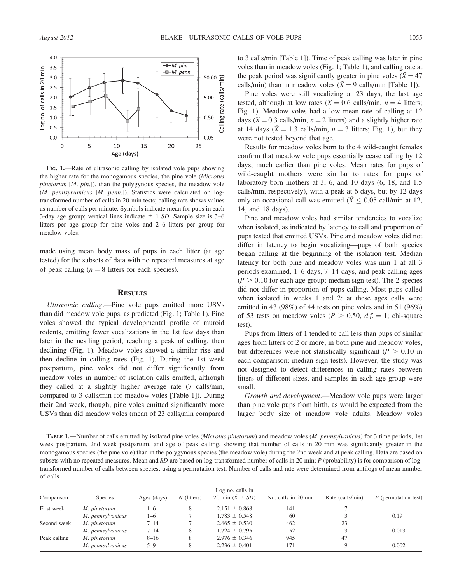

FIG. 1.—Rate of ultrasonic calling by isolated vole pups showing the higher rate for the monogamous species, the pine vole (Microtus *pinetorum*  $[M. \, pin.]$ , than the polygynous species, the meadow vole (M. pennsylvanicus [M. penn.]). Statistics were calculated on logtransformed number of calls in 20-min tests; calling rate shows values as number of calls per minute. Symbols indicate mean for pups in each 3-day age group; vertical lines indicate  $\pm$  1 SD. Sample size is 3–6 litters per age group for pine voles and 2–6 litters per group for meadow voles.

made using mean body mass of pups in each litter (at age tested) for the subsets of data with no repeated measures at age of peak calling  $(n = 8$  litters for each species).

#### **RESULTS**

Ultrasonic calling.—Pine vole pups emitted more USVs than did meadow vole pups, as predicted (Fig. 1; Table 1). Pine voles showed the typical developmental profile of muroid rodents, emitting fewer vocalizations in the 1st few days than later in the nestling period, reaching a peak of calling, then declining (Fig. 1). Meadow voles showed a similar rise and then decline in calling rates (Fig. 1). During the 1st week postpartum, pine voles did not differ significantly from meadow voles in number of isolation calls emitted, although they called at a slightly higher average rate (7 calls/min, compared to 3 calls/min for meadow voles [Table 1]). During their 2nd week, though, pine voles emitted significantly more USVs than did meadow voles (mean of 23 calls/min compared to 3 calls/min [Table 1]). Time of peak calling was later in pine voles than in meadow voles (Fig. 1; Table 1), and calling rate at the peak period was significantly greater in pine voles ( $\bar{X} = 47$ calls/min) than in meadow voles ( $\bar{X} = 9$  calls/min [Table 1]).

Pine voles were still vocalizing at 23 days, the last age tested, although at low rates ( $\bar{X} = 0.6$  calls/min,  $n = 4$  litters; Fig. 1). Meadow voles had a low mean rate of calling at 12 days ( $\bar{X}$  = 0.3 calls/min, n = 2 litters) and a slightly higher rate at 14 days ( $\bar{X} = 1.3$  calls/min,  $n = 3$  litters; Fig. 1), but they were not tested beyond that age.

Results for meadow voles born to the 4 wild-caught females confirm that meadow vole pups essentially cease calling by 12 days, much earlier than pine voles. Mean rates for pups of wild-caught mothers were similar to rates for pups of laboratory-born mothers at 3, 6, and 10 days (6, 18, and 1.5 calls/min, respectively), with a peak at 6 days, but by 12 days only an occasional call was emitted ( $\bar{X} \leq 0.05$  call/min at 12, 14, and 18 days).

Pine and meadow voles had similar tendencies to vocalize when isolated, as indicated by latency to call and proportion of pups tested that emitted USVs. Pine and meadow voles did not differ in latency to begin vocalizing—pups of both species began calling at the beginning of the isolation test. Median latency for both pine and meadow voles was min 1 at all 3 periods examined, 1–6 days, 7–14 days, and peak calling ages  $(P > 0.10$  for each age group; median sign test). The 2 species did not differ in proportion of pups calling. Most pups called when isolated in weeks 1 and 2: at these ages calls were emitted in 43 (98%) of 44 tests on pine voles and in 51 (96%) of 53 tests on meadow voles ( $P > 0.50$ ,  $df = 1$ ; chi-square test).

Pups from litters of 1 tended to call less than pups of similar ages from litters of 2 or more, in both pine and meadow voles, but differences were not statistically significant ( $P > 0.10$  in each comparison; median sign tests). However, the study was not designed to detect differences in calling rates between litters of different sizes, and samples in each age group were small.

Growth and development.—Meadow vole pups were larger than pine vole pups from birth, as would be expected from the larger body size of meadow vole adults. Meadow voles

TABLE 1.—Number of calls emitted by isolated pine voles (Microtus pinetorum) and meadow voles (M. pennsylvanicus) for 3 time periods, 1st week postpartum, 2nd week postpartum, and age of peak calling, showing that number of calls in 20 min was significantly greater in the monogamous species (the pine vole) than in the polygynous species (the meadow vole) during the 2nd week and at peak calling. Data are based on subsets with no repeated measures. Mean and SD are based on log-transformed number of calls in 20 min;  $P$  (probability) is for comparison of logtransformed number of calls between species, using a permutation test. Number of calls and rate were determined from antilogs of mean number of calls.

| Comparison   | <b>Species</b>    | Ages (days) | $N$ (litters) | Log no. calls in<br>20 min $(\bar{X} \pm SD)$ | No. calls in 20 min | Rate (calls/min) | P (permutation test) |
|--------------|-------------------|-------------|---------------|-----------------------------------------------|---------------------|------------------|----------------------|
| First week   | M. pinetorum      | 1–6         | 8             | $2.151 \pm 0.868$                             | 141                 |                  |                      |
|              | M. pennsylvanicus | $1 - 6$     |               | $1.783 \pm 0.548$                             | 60                  |                  | 0.19                 |
| Second week  | M. pinetorum      | $7 - 14$    |               | $2.665 \pm 0.530$                             | 462                 | 23               |                      |
|              | M. pennsylvanicus | $7 - 14$    | 8             | $1.724 \pm 0.795$                             | 52                  |                  | 0.013                |
| Peak calling | M. pinetorum      | $8 - 16$    | 8             | $2.976 \pm 0.346$                             | 945                 | 47               |                      |
|              | M. pennsylvanicus | $5 - 9$     | 8             | $2.236 \pm 0.401$                             | 171                 |                  | 0.002                |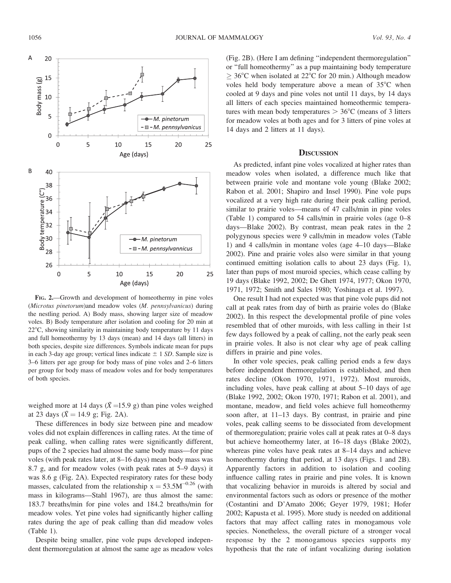

FIG. 2.—Growth and development of homeothermy in pine voles (Microtus pinetorum)and meadow voles (M. pennsylvanicus) during the nestling period. A) Body mass, showing larger size of meadow voles. B) Body temperature after isolation and cooling for 20 min at  $22^{\circ}$ C, showing similarity in maintaining body temperature by 11 days and full homeothermy by 13 days (mean) and 14 days (all litters) in both species, despite size differences. Symbols indicate mean for pups in each 3-day age group; vertical lines indicate  $\pm$  1 SD. Sample size is 3–6 litters per age group for body mass of pine voles and 2–6 litters per group for body mass of meadow voles and for body temperatures of both species.

weighed more at 14 days ( $\bar{X}$  =15.9 g) than pine voles weighed at 23 days ( $\bar{X} = 14.9$  g; Fig. 2A).

These differences in body size between pine and meadow voles did not explain differences in calling rates. At the time of peak calling, when calling rates were significantly different, pups of the 2 species had almost the same body mass—for pine voles (with peak rates later, at 8–16 days) mean body mass was 8.7 g, and for meadow voles (with peak rates at 5–9 days) it was 8.6 g (Fig. 2A). Expected respiratory rates for these body masses, calculated from the relationship  $x = 53.5M^{-0.26}$  (with mass in kilograms—Stahl 1967), are thus almost the same: 183.7 breaths/min for pine voles and 184.2 breaths/min for meadow voles. Yet pine voles had significantly higher calling rates during the age of peak calling than did meadow voles (Table 1).

Despite being smaller, pine vole pups developed independent thermoregulation at almost the same age as meadow voles (Fig. 2B). (Here I am defining ''independent thermoregulation'' or ''full homeothermy'' as a pup maintaining body temperature  $>$  36°C when isolated at 22°C for 20 min.) Although meadow voles held body temperature above a mean of 35°C when cooled at 9 days and pine voles not until 11 days, by 14 days all litters of each species maintained homeothermic temperatures with mean body temperatures  $> 36^{\circ}$ C (means of 3 litters for meadow voles at both ages and for 3 litters of pine voles at 14 days and 2 litters at 11 days).

#### **DISCUSSION**

As predicted, infant pine voles vocalized at higher rates than meadow voles when isolated, a difference much like that between prairie vole and montane vole young (Blake 2002; Rabon et al. 2001; Shapiro and Insel 1990). Pine vole pups vocalized at a very high rate during their peak calling period, similar to prairie voles—means of 47 calls/min in pine voles (Table 1) compared to 54 calls/min in prairie voles (age 0–8 days—Blake 2002). By contrast, mean peak rates in the 2 polygynous species were 9 calls/min in meadow voles (Table 1) and 4 calls/min in montane voles (age 4–10 days—Blake 2002). Pine and prairie voles also were similar in that young continued emitting isolation calls to about 23 days (Fig. 1), later than pups of most muroid species, which cease calling by 19 days (Blake 1992, 2002; De Ghett 1974, 1977; Okon 1970, 1971, 1972; Smith and Sales 1980; Yoshinaga et al. 1997).

One result I had not expected was that pine vole pups did not call at peak rates from day of birth as prairie voles do (Blake 2002). In this respect the developmental profile of pine voles resembled that of other muroids, with less calling in their 1st few days followed by a peak of calling, not the early peak seen in prairie voles. It also is not clear why age of peak calling differs in prairie and pine voles.

In other vole species, peak calling period ends a few days before independent thermoregulation is established, and then rates decline (Okon 1970, 1971, 1972). Most muroids, including voles, have peak calling at about 5–10 days of age (Blake 1992, 2002; Okon 1970, 1971; Rabon et al. 2001), and montane, meadow, and field voles achieve full homeothermy soon after, at 11–13 days. By contrast, in prairie and pine voles, peak calling seems to be dissociated from development of thermoregulation; prairie voles call at peak rates at 0–8 days but achieve homeothermy later, at 16–18 days (Blake 2002), whereas pine voles have peak rates at 8–14 days and achieve homeothermy during that period, at 13 days (Figs. 1 and 2B). Apparently factors in addition to isolation and cooling influence calling rates in prairie and pine voles. It is known that vocalizing behavior in muroids is altered by social and environmental factors such as odors or presence of the mother (Costantini and D'Amato 2006; Geyer 1979, 1981; Hofer 2002; Kapusta et al. 1995). More study is needed on additional factors that may affect calling rates in monogamous vole species. Nonetheless, the overall picture of a stronger vocal response by the 2 monogamous species supports my hypothesis that the rate of infant vocalizing during isolation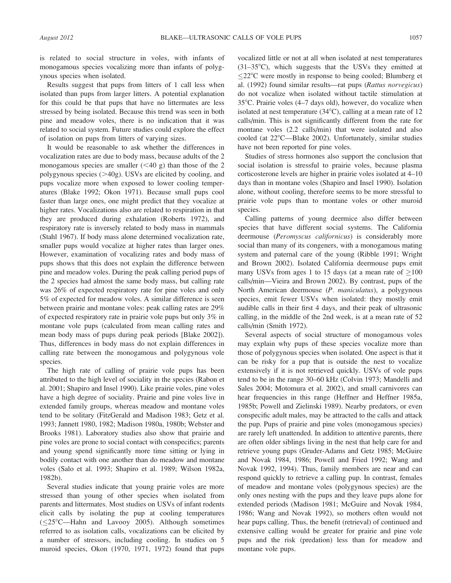is related to social structure in voles, with infants of monogamous species vocalizing more than infants of polygynous species when isolated.

Results suggest that pups from litters of 1 call less when isolated than pups from larger litters. A potential explanation for this could be that pups that have no littermates are less stressed by being isolated. Because this trend was seen in both pine and meadow voles, there is no indication that it was related to social system. Future studies could explore the effect of isolation on pups from litters of varying sizes.

It would be reasonable to ask whether the differences in vocalization rates are due to body mass, because adults of the 2 monogamous species are smaller  $( $40 \text{ g}$ )$  than those of the 2 polygynous species  $(>=40g)$ . USVs are elicited by cooling, and pups vocalize more when exposed to lower cooling temperatures (Blake 1992; Okon 1971). Because small pups cool faster than large ones, one might predict that they vocalize at higher rates. Vocalizations also are related to respiration in that they are produced during exhalation (Roberts 1972), and respiratory rate is inversely related to body mass in mammals (Stahl 1967). If body mass alone determined vocalization rate, smaller pups would vocalize at higher rates than larger ones. However, examination of vocalizing rates and body mass of pups shows that this does not explain the difference between pine and meadow voles. During the peak calling period pups of the 2 species had almost the same body mass, but calling rate was 26% of expected respiratory rate for pine voles and only 5% of expected for meadow voles. A similar difference is seen between prairie and montane voles: peak calling rates are 29% of expected respiratory rate in prairie vole pups but only 3% in montane vole pups (calculated from mean calling rates and mean body mass of pups during peak periods [Blake 2002]). Thus, differences in body mass do not explain differences in calling rate between the monogamous and polygynous vole species.

The high rate of calling of prairie vole pups has been attributed to the high level of sociality in the species (Rabon et al. 2001; Shapiro and Insel 1990). Like prairie voles, pine voles have a high degree of sociality. Prairie and pine voles live in extended family groups, whereas meadow and montane voles tend to be solitary (FitzGerald and Madison 1983; Getz et al. 1993; Jannett 1980, 1982; Madison 1980a, 1980b; Webster and Brooks 1981). Laboratory studies also show that prairie and pine voles are prone to social contact with conspecifics; parents and young spend significantly more time sitting or lying in bodily contact with one another than do meadow and montane voles (Salo et al. 1993; Shapiro et al. 1989; Wilson 1982a, 1982b).

Several studies indicate that young prairie voles are more stressed than young of other species when isolated from parents and littermates. Most studies on USVs of infant rodents elicit calls by isolating the pup at cooling temperatures  $(\leq 25^{\circ}$ C—Hahn and Lavooy 2005). Although sometimes referred to as isolation calls, vocalizations can be elicited by a number of stressors, including cooling. In studies on 5 muroid species, Okon (1970, 1971, 1972) found that pups vocalized little or not at all when isolated at nest temperatures  $(31-35^{\circ}C)$ , which suggests that the USVs they emitted at  $\leq$ 22°C were mostly in response to being cooled; Blumberg et al. (1992) found similar results—rat pups (Rattus norvegicus) do not vocalize when isolated without tactile stimulation at  $35^{\circ}$ C. Prairie voles (4–7 days old), however, do vocalize when isolated at nest temperature  $(34^{\circ}C)$ , calling at a mean rate of 12 calls/min. This is not significantly different from the rate for montane voles (2.2 calls/min) that were isolated and also cooled (at  $22^{\circ}$ C—Blake 2002). Unfortunately, similar studies have not been reported for pine voles.

Studies of stress hormones also support the conclusion that social isolation is stressful to prairie voles, because plasma corticosterone levels are higher in prairie voles isolated at 4–10 days than in montane voles (Shapiro and Insel 1990). Isolation alone, without cooling, therefore seems to be more stressful to prairie vole pups than to montane voles or other muroid species.

Calling patterns of young deermice also differ between species that have different social systems. The California deermouse (Peromyscus californicus) is considerably more social than many of its congeners, with a monogamous mating system and paternal care of the young (Ribble 1991; Wright and Brown 2002). Isolated California deermouse pups emit many USVs from ages 1 to 15 days (at a mean rate of  $\geq 100$ calls/min—Vieira and Brown 2002). By contrast, pups of the North American deermouse (P. maniculatus), a polygynous species, emit fewer USVs when isolated: they mostly emit audible calls in their first 4 days, and their peak of ultrasonic calling, in the middle of the 2nd week, is at a mean rate of 52 calls/min (Smith 1972).

Several aspects of social structure of monogamous voles may explain why pups of these species vocalize more than those of polygynous species when isolated. One aspect is that it can be risky for a pup that is outside the nest to vocalize extensively if it is not retrieved quickly. USVs of vole pups tend to be in the range 30–60 kHz (Colvin 1973; Mandelli and Sales 2004; Motomura et al. 2002), and small carnivores can hear frequencies in this range (Heffner and Heffner 1985a, 1985b; Powell and Zielinski 1989). Nearby predators, or even conspecific adult males, may be attracted to the calls and attack the pup. Pups of prairie and pine voles (monogamous species) are rarely left unattended. In addition to attentive parents, there are often older siblings living in the nest that help care for and retrieve young pups (Gruder-Adams and Getz 1985; McGuire and Novak 1984, 1986; Powell and Fried 1992; Wang and Novak 1992, 1994). Thus, family members are near and can respond quickly to retrieve a calling pup. In contrast, females of meadow and montane voles (polygynous species) are the only ones nesting with the pups and they leave pups alone for extended periods (Madison 1981; McGuire and Novak 1984, 1986; Wang and Novak 1992), so mothers often would not hear pups calling. Thus, the benefit (retrieval) of continued and extensive calling would be greater for prairie and pine vole pups and the risk (predation) less than for meadow and montane vole pups.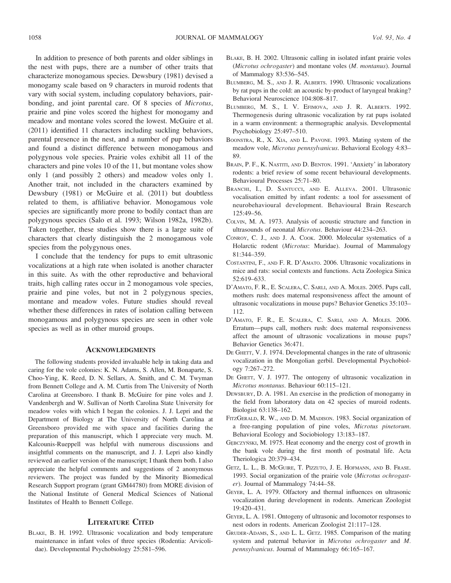In addition to presence of both parents and older siblings in the nest with pups, there are a number of other traits that characterize monogamous species. Dewsbury (1981) devised a monogamy scale based on 9 characters in muroid rodents that vary with social system, including copulatory behaviors, pairbonding, and joint parental care. Of 8 species of Microtus, prairie and pine voles scored the highest for monogamy and meadow and montane voles scored the lowest. McGuire et al. (2011) identified 11 characters including suckling behaviors, parental presence in the nest, and a number of pup behaviors and found a distinct difference between monogamous and polygynous vole species. Prairie voles exhibit all 11 of the characters and pine voles 10 of the 11, but montane voles show only 1 (and possibly 2 others) and meadow voles only 1. Another trait, not included in the characters examined by Dewsbury (1981) or McGuire et al. (2011) but doubtless related to them, is affiliative behavior. Monogamous vole species are significantly more prone to bodily contact than are polygynous species (Salo et al. 1993; Wilson 1982a, 1982b). Taken together, these studies show there is a large suite of characters that clearly distinguish the 2 monogamous vole species from the polygynous ones.

I conclude that the tendency for pups to emit ultrasonic vocalizations at a high rate when isolated is another character in this suite. As with the other reproductive and behavioral traits, high calling rates occur in 2 monogamous vole species, prairie and pine voles, but not in 2 polygynous species, montane and meadow voles. Future studies should reveal whether these differences in rates of isolation calling between monogamous and polygynous species are seen in other vole species as well as in other muroid groups.

#### **ACKNOWLEDGMENTS**

The following students provided invaluable help in taking data and caring for the vole colonies: K. N. Adams, S. Allen, M. Bonaparte, S. Choo-Ying, K. Reed, D. N. Sellars, A. Smith, and C. M. Twyman from Bennett College and A. M. Curtis from The University of North Carolina at Greensboro. I thank B. McGuire for pine voles and J. Vandenbergh and W. Sullivan of North Carolina State University for meadow voles with which I began the colonies. J. J. Lepri and the Department of Biology at The University of North Carolina at Greensboro provided me with space and facilities during the preparation of this manuscript, which I appreciate very much. M. Kalcounis-Rueppell was helpful with numerous discussions and insightful comments on the manuscript, and J. J. Lepri also kindly reviewed an earlier version of the manuscript; I thank them both. I also appreciate the helpful comments and suggestions of 2 anonymous reviewers. The project was funded by the Minority Biomedical Research Support program (grant GM44780) from MORE division of the National Institute of General Medical Sciences of National Institutes of Health to Bennett College.

## LITERATURE CITED

BLAKE, B. H. 1992. Ultrasonic vocalization and body temperature maintenance in infant voles of three species (Rodentia: Arvicolidae). Developmental Psychobiology 25:581–596.

- BLAKE, B. H. 2002. Ultrasonic calling in isolated infant prairie voles (Microtus ochrogaster) and montane voles (M. montanus). Journal of Mammalogy 83:536–545.
- BLUMBERG, M. S., AND J. R. ALBERTS. 1990. Ultrasonic vocalizations by rat pups in the cold: an acoustic by-product of laryngeal braking? Behavioral Neuroscience 104:808–817.
- BLUMBERG, M. S., I. V. EFIMOVA, AND J. R. ALBERTS. 1992. Thermogenesis during ultrasonic vocalization by rat pups isolated in a warm environment: a thermographic analysis. Developmental Psychobiology 25:497–510.
- BOONSTRA, R., X. XIA, AND L. PAVONE. 1993. Mating system of the meadow vole, Microtus pennsylvanicus. Behavioral Ecology 4:83– 89.
- BRAIN, P. F., K. NASTITI, AND D. BENTON. 1991. 'Anxiety' in laboratory rodents: a brief review of some recent behavioural developments. Behavioural Processes 25:71–80.
- BRANCHI, I., D. SANTUCCI, AND E. ALLEVA. 2001. Ultrasonic vocalisation emitted by infant rodents: a tool for assessment of neurobehavioural development. Behavioural Brain Research 125:49–56.
- COLVIN, M. A. 1973. Analysis of acoustic structure and function in ultrasounds of neonatal Microtus. Behaviour 44:234–263.
- CONROY, C. J., AND J. A. COOK. 2000. Molecular systematics of a Holarctic rodent (Microtus: Muridae). Journal of Mammalogy 81:344–359.
- COSTANTINI, F., AND F. R. D'AMATO. 2006. Ultrasonic vocalizations in mice and rats: social contexts and functions. Acta Zoologica Sinica 52:619–633.
- D'AMATO, F. R., E. SCALERA, C. SARLI, AND A. MOLES. 2005. Pups call, mothers rush: does maternal responsiveness affect the amount of ultrasonic vocalizations in mouse pups? Behavior Genetics 35:103– 112.
- D'AMATO, F. R., E. SCALERA, C. SARLI, AND A. MOLES. 2006. Erratum—pups call, mothers rush: does maternal responsiveness affect the amount of ultrasonic vocalizations in mouse pups? Behavior Genetics 36:471.
- DE GHETT, V. J. 1974. Developmental changes in the rate of ultrasonic vocalization in the Mongolian gerbil. Developmental Psychobiology 7:267–272.
- DE GHETT, V. J. 1977. The ontogeny of ultrasonic vocalization in Microtus montanus. Behaviour 60:115–121.
- DEWSBURY, D. A. 1981. An exercise in the prediction of monogamy in the field from laboratory data on 42 species of muroid rodents. Biologist 63:138–162.
- FITZGERALD, R. W., AND D. M. MADISON. 1983. Social organization of a free-ranging population of pine voles, Microtus pinetorum. Behavioral Ecology and Sociobiology 13:183–187.
- GEBCZYŃSKI, M. 1975. Heat economy and the energy cost of growth in the bank vole during the first month of postnatal life. Acta Theriologica 20:379–434.
- GETZ, L. L., B. MCGUIRE, T. PIZZUTO, J. E. HOFMANN, AND B. FRASE. 1993. Social organization of the prairie vole (Microtus ochrogaster). Journal of Mammalogy 74:44–58.
- GEYER, L. A. 1979. Olfactory and thermal influences on ultrasonic vocalization during development in rodents. American Zoologist 19:420–431.
- GEYER, L. A. 1981. Ontogeny of ultrasonic and locomotor responses to nest odors in rodents. American Zoologist 21:117–128.
- GRUDER-ADAMS, S., AND L. L. GETZ. 1985. Comparison of the mating system and paternal behavior in Microtus ochrogaster and M. pennsylvanicus. Journal of Mammalogy 66:165–167.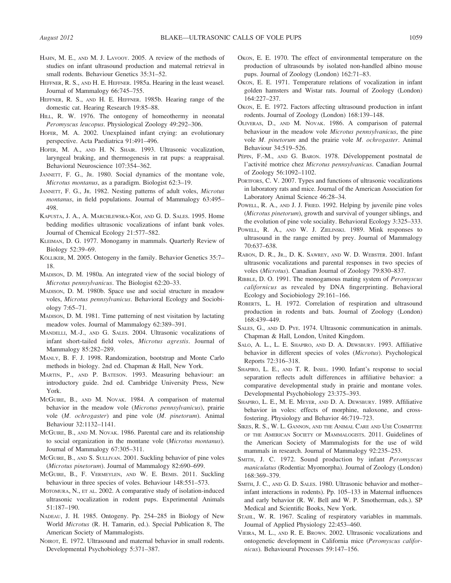- HAHN, M. E., AND M. J. LAVOOY. 2005. A review of the methods of studies on infant ultrasound production and maternal retrieval in small rodents. Behaviour Genetics 35:31–52.
- HEFFNER, R. S., AND H. E. HEFFNER. 1985a. Hearing in the least weasel. Journal of Mammalogy 66:745–755.
- HEFFNER, R. S., AND H. E. HEFFNER. 1985b. Hearing range of the domestic cat. Hearing Research 19:85–88.
- HILL, R. W. 1976. The ontogeny of homeothermy in neonatal Peromyscus leucopus. Physiological Zoology 49:292–306.
- HOFER, M. A. 2002. Unexplained infant crying: an evolutionary perspective. Acta Paediatrica 91:491–496.
- HOFER, M. A., AND H. N. SHAIR. 1993. Ultrasonic vocalization, laryngeal braking, and thermogenesis in rat pups: a reappraisal. Behavioral Neuroscience 107:354–362.
- JANNETT, F. G., JR. 1980. Social dynamics of the montane vole, Microtus montanus, as a paradigm. Biologist 62:3–19.
- JANNETT, F. G., JR. 1982. Nesting patterns of adult voles, Microtus montanus, in field populations. Journal of Mammalogy 63:495– 498.
- KAPUSTA, J. A., A. MARCHLEWSKA-KOJ, AND G. D. SALES. 1995. Home bedding modifies ultrasonic vocalizations of infant bank voles. Journal of Chemical Ecology 21:577–582.
- KLEIMAN, D. G. 1977. Monogamy in mammals. Quarterly Review of Biology 52:39–69.
- KÖLLIKER, M. 2005. Ontogeny in the family. Behavior Genetics 35:7-18.
- MADISON, D. M. 1980a. An integrated view of the social biology of Microtus pennsylvanicus. The Biologist 62:20–33.
- MADISON, D. M. 1980b. Space use and social structure in meadow voles, Microtus pennsylvanicus. Behavioral Ecology and Sociobiology 7:65–71.
- MADISON, D. M. 1981. Time patterning of nest visitation by lactating meadow voles. Journal of Mammalogy 62:389–391.
- MANDELLI, M.-J., AND G. SALES. 2004. Ultrasonic vocalizations of infant short-tailed field voles, Microtus agrestis. Journal of Mammalogy 85:282–289.
- MANLY, B. F. J. 1998. Randomization, bootstrap and Monte Carlo methods in biology. 2nd ed. Chapman & Hall, New York.
- MARTIN, P., AND P. BATESON. 1993. Measuring behaviour: an introductory guide. 2nd ed. Cambridge University Press, New York.
- MCGUIRE, B., AND M. NOVAK. 1984. A comparison of maternal behavior in the meadow vole (Microtus pennsylvanicus), prairie vole (M. ochrogaster) and pine vole (M. pinetorum). Animal Behaviour 32:1132–1141.
- MCGUIRE, B., AND M. NOVAK. 1986. Parental care and its relationship to social organization in the montane vole (Microtus montanus). Journal of Mammalogy 67:305–311.
- MCGUIRE, B., AND S. SULLIVAN. 2001. Suckling behavior of pine voles (Microtus pinetorum). Journal of Mammalogy 82:690–699.
- MCGUIRE, B., F. VERMEYLEN, AND W. E. BEMIS. 2011. Suckling behaviour in three species of voles. Behaviour 148:551–573.
- MOTOMURA, N., ET AL. 2002. A comparative study of isolation-induced ultrasonic vocalization in rodent pups. Experimental Animals 51:187–190.
- NADEAU, J. H. 1985. Ontogeny. Pp. 254–285 in Biology of New World Microtus (R. H. Tamarin, ed.). Special Publication 8, The American Society of Mammalogists.
- NOIROT, E. 1972. Ultrasound and maternal behavior in small rodents. Developmental Psychobiology 5:371–387.
- OKON, E. E. 1970. The effect of environmental temperature on the production of ultrasounds by isolated non-handled albino mouse pups. Journal of Zoology (London) 162:71–83.
- OKON, E. E. 1971. Temperature relations of vocalization in infant golden hamsters and Wistar rats. Journal of Zoology (London) 164:227–237.
- OKON, E. E. 1972. Factors affecting ultrasound production in infant rodents. Journal of Zoology (London) 168:139–148.
- OLIVERAS, D., AND M. NOVAK. 1986. A comparison of paternal behaviour in the meadow vole Microtus pennsylvanicus, the pine vole M. pinetorum and the prairie vole M. ochrogaster. Animal Behaviour 34:519–526.
- PÉPIN, F.-M., AND G. BARON. 1978. Développement postnatal de l'activité motrice chez Microtus pennsylvanicus. Canadian Journal of Zoology 56:1092–1102.
- PORTFORS, C. V. 2007. Types and functions of ultrasonic vocalizations in laboratory rats and mice. Journal of the American Association for Laboratory Animal Science 46:28–34.
- POWELL, R. A., AND J. J. FRIED. 1992. Helping by juvenile pine voles (Microtus pinetorum), growth and survival of younger siblings, and the evolution of pine vole sociality. Behavioral Ecology 3:325–333.
- POWELL, R. A., AND W. J. ZIELINSKI. 1989. Mink responses to ultrasound in the range emitted by prey. Journal of Mammalogy 70:637–638.
- RABON, D. R., JR., D. K. SAWREY, AND W. D. WEBSTER. 2001. Infant ultrasonic vocalizations and parental responses in two species of voles (Microtus). Canadian Journal of Zoology 79:830–837.
- RIBBLE, D. O. 1991. The monogamous mating system of Peromyscus californicus as revealed by DNA fingerprinting. Behavioral Ecology and Sociobiology 29:161–166.
- ROBERTS, L. H. 1972. Correlation of respiration and ultrasound production in rodents and bats. Journal of Zoology (London) 168:439–449.
- SALES, G., AND D. PYE. 1974. Ultrasonic communication in animals. Chapman & Hall, London, United Kingdom.
- SALO, A. L., L. E. SHAPIRO, AND D. A. DEWSBURY. 1993. Affiliative behavior in different species of voles (Microtus). Psychological Reports 72:316–318.
- SHAPIRO, L. E., AND T. R. INSEL. 1990. Infant's response to social separation reflects adult differences in affiliative behavior: a comparative developmental study in prairie and montane voles. Developmental Psychobiology 23:375–393.
- SHAPIRO, L. E., M. E. MEYER, AND D. A. DEWSBURY. 1989. Affiliative behavior in voles: effects of morphine, naloxone, and crossfostering. Physiology and Behavior 46:719–723.
- SIKES, R. S., W. L. GANNON, AND THE ANIMAL CARE AND USE COMMITTEE OF THE AMERICAN SOCIETY OF MAMMALOGISTS. 2011. Guidelines of the American Society of Mammalogists for the use of wild mammals in research. Journal of Mammalogy 92:235–253.
- SMITH, J. C. 1972. Sound production by infant Peromyscus maniculatus (Rodentia: Myomorpha). Journal of Zoology (London) 168:369–379.
- SMITH, J. C., AND G. D. SALES. 1980. Ultrasonic behavior and mother– infant interactions in rodents). Pp. 105–133 in Maternal influences and early behavior (R. W. Bell and W. P. Smotherman, eds.). SP Medical and Scientific Books, New York.
- STAHL, W. R. 1967. Scaling of respiratory variables in mammals. Journal of Applied Physiology 22:453–460.
- VIEIRA, M. L., AND R. E. BROWN. 2002. Ultrasonic vocalizations and ontogenetic development in California mice (Peromyscus californicus). Behavioural Processes 59:147–156.